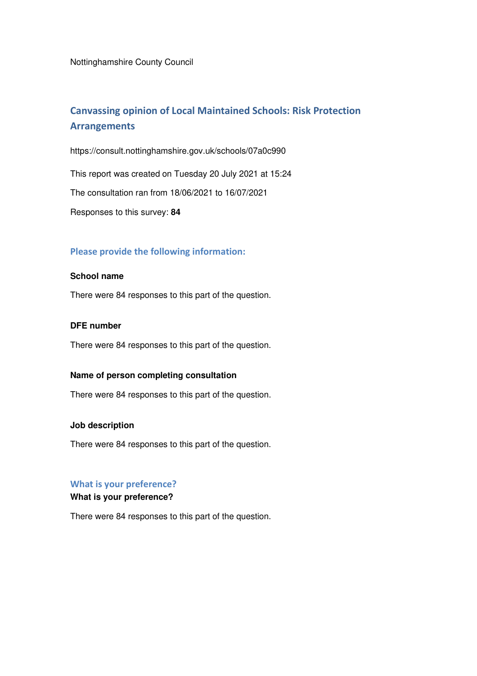Nottinghamshire County Council

# **Canvassing opinion of Local Maintained Schools: Risk Protection Arrangements**

https://consult.nottinghamshire.gov.uk/schools/07a0c990

This report was created on Tuesday 20 July 2021 at 15:24

The consultation ran from 18/06/2021 to 16/07/2021

Responses to this survey: **84**

### **Please provide the following information:**

### **School name**

There were 84 responses to this part of the question.

### **DFE number**

There were 84 responses to this part of the question.

## **Name of person completing consultation**

There were 84 responses to this part of the question.

#### **Job description**

There were 84 responses to this part of the question.

## **What is your preference?**

## **What is your preference?**

There were 84 responses to this part of the question.